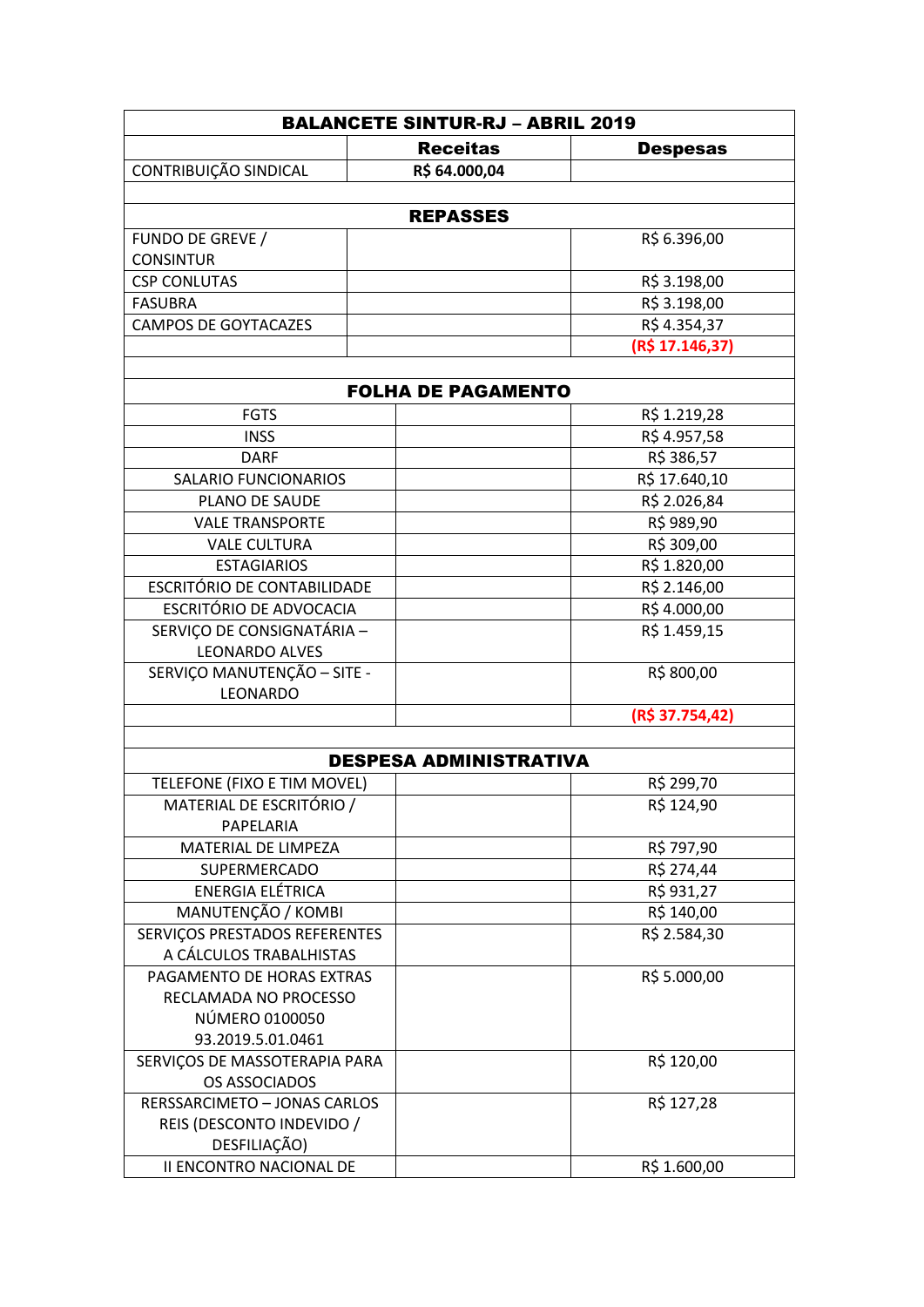| <b>BALANCETE SINTUR-RJ - ABRIL 2019</b>        |                 |                 |  |
|------------------------------------------------|-----------------|-----------------|--|
|                                                | <b>Receitas</b> | <b>Despesas</b> |  |
| CONTRIBUIÇÃO SINDICAL                          | R\$ 64.000,04   |                 |  |
|                                                |                 |                 |  |
| <b>REPASSES</b>                                |                 |                 |  |
| FUNDO DE GREVE /                               |                 | R\$ 6.396,00    |  |
| <b>CONSINTUR</b>                               |                 |                 |  |
| <b>CSP CONLUTAS</b>                            |                 | R\$ 3.198,00    |  |
| <b>FASUBRA</b>                                 |                 | R\$ 3.198,00    |  |
| <b>CAMPOS DE GOYTACAZES</b>                    |                 | R\$4.354,37     |  |
|                                                |                 | (R\$ 17.146,37) |  |
|                                                |                 |                 |  |
| <b>FOLHA DE PAGAMENTO</b>                      |                 |                 |  |
| <b>FGTS</b>                                    |                 | R\$ 1.219,28    |  |
| <b>INSS</b>                                    |                 | R\$4.957,58     |  |
| <b>DARF</b>                                    |                 | R\$ 386,57      |  |
| <b>SALARIO FUNCIONARIOS</b>                    |                 | R\$ 17.640,10   |  |
| PLANO DE SAUDE                                 |                 | R\$ 2.026,84    |  |
| <b>VALE TRANSPORTE</b>                         |                 | R\$ 989,90      |  |
| <b>VALE CULTURA</b>                            |                 | R\$ 309,00      |  |
| <b>ESTAGIARIOS</b>                             |                 | R\$ 1.820,00    |  |
| <b>ESCRITÓRIO DE CONTABILIDADE</b>             |                 | R\$ 2.146,00    |  |
| ESCRITÓRIO DE ADVOCACIA                        |                 | R\$4.000,00     |  |
| SERVIÇO DE CONSIGNATÁRIA -                     |                 | R\$ 1.459,15    |  |
| <b>LEONARDO ALVES</b>                          |                 |                 |  |
| SERVIÇO MANUTENÇÃO - SITE -                    |                 | R\$800,00       |  |
| LEONARDO                                       |                 |                 |  |
|                                                |                 | (R\$ 37.754,42) |  |
|                                                |                 |                 |  |
| <b>DESPESA ADMINISTRATIVA</b>                  |                 |                 |  |
| TELEFONE (FIXO E TIM MOVEL)                    |                 | R\$ 299,70      |  |
| MATERIAL DE ESCRITÓRIO /                       |                 | R\$ 124,90      |  |
| PAPELARIA                                      |                 |                 |  |
| MATERIAL DE LIMPEZA                            |                 | R\$ 797,90      |  |
| <b>SUPERMERCADO</b>                            |                 | R\$ 274,44      |  |
| ENERGIA ELÉTRICA                               |                 | R\$ 931,27      |  |
| MANUTENÇÃO / KOMBI                             |                 | R\$ 140,00      |  |
| SERVIÇOS PRESTADOS REFERENTES                  |                 | R\$ 2.584,30    |  |
| A CÁLCULOS TRABALHISTAS                        |                 |                 |  |
| PAGAMENTO DE HORAS EXTRAS                      |                 | R\$ 5.000,00    |  |
| RECLAMADA NO PROCESSO                          |                 |                 |  |
| NÚMERO 0100050<br>93.2019.5.01.0461            |                 |                 |  |
|                                                |                 | R\$ 120,00      |  |
| SERVIÇOS DE MASSOTERAPIA PARA<br>OS ASSOCIADOS |                 |                 |  |
| RERSSARCIMETO - JONAS CARLOS                   |                 | R\$ 127,28      |  |
| REIS (DESCONTO INDEVIDO /                      |                 |                 |  |
| DESFILIAÇÃO)                                   |                 |                 |  |
| II ENCONTRO NACIONAL DE                        |                 | R\$ 1.600,00    |  |
|                                                |                 |                 |  |